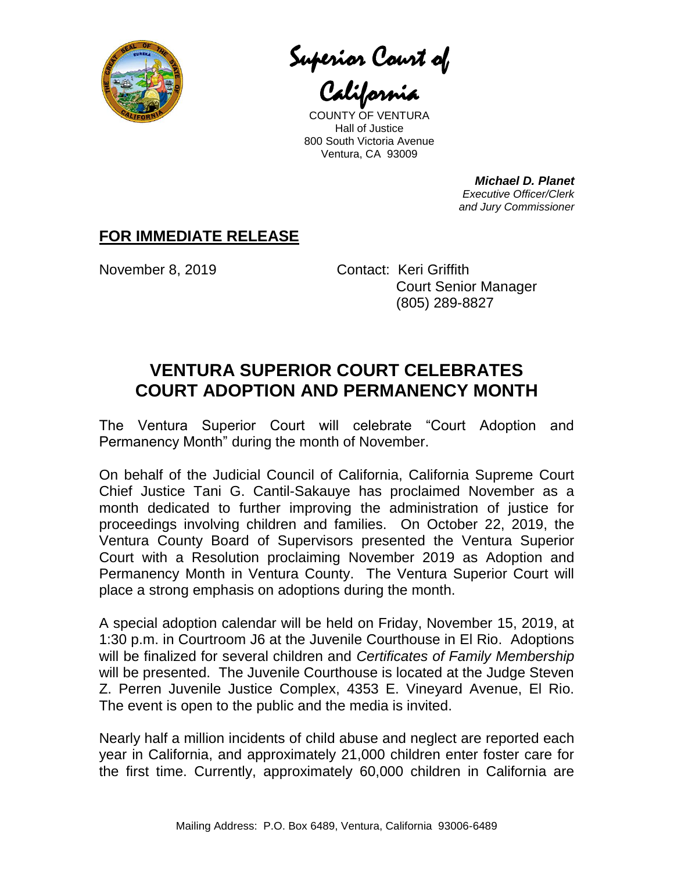

Superior Court of

California

COUNTY OF VENTURA Hall of Justice 800 South Victoria Avenue Ventura, CA 93009

> *Michael D. Planet Executive Officer/Clerk and Jury Commissioner*

## **FOR IMMEDIATE RELEASE**

November 8, 2019 Contact: Keri Griffith Court Senior Manager (805) 289-8827

## **VENTURA SUPERIOR COURT CELEBRATES COURT ADOPTION AND PERMANENCY MONTH**

The Ventura Superior Court will celebrate "Court Adoption and Permanency Month" during the month of November.

On behalf of the Judicial Council of California, California Supreme Court Chief Justice Tani G. Cantil-Sakauye has proclaimed November as a month dedicated to further improving the administration of justice for proceedings involving children and families. On October 22, 2019, the Ventura County Board of Supervisors presented the Ventura Superior Court with a Resolution proclaiming November 2019 as Adoption and Permanency Month in Ventura County. The Ventura Superior Court will place a strong emphasis on adoptions during the month.

A special adoption calendar will be held on Friday, November 15, 2019, at 1:30 p.m. in Courtroom J6 at the Juvenile Courthouse in El Rio. Adoptions will be finalized for several children and *Certificates of Family Membership* will be presented. The Juvenile Courthouse is located at the Judge Steven Z. Perren Juvenile Justice Complex, 4353 E. Vineyard Avenue, El Rio. The event is open to the public and the media is invited.

Nearly half a million incidents of child abuse and neglect are reported each year in California, and approximately 21,000 children enter foster care for the first time. Currently, approximately 60,000 children in California are